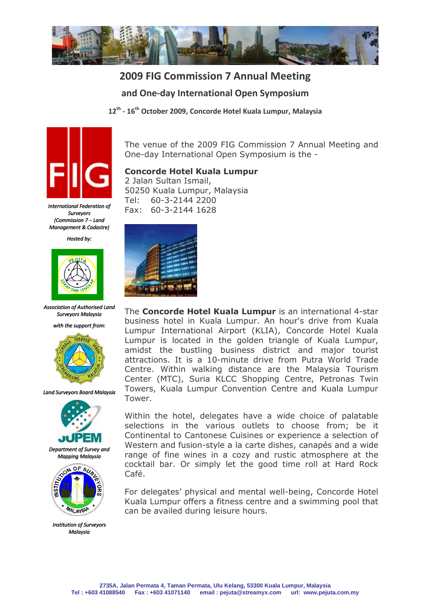

# **2009 FIG Commission 7 Annual Meeting and One-day International Open Symposium**

**12th - 16th October 2009, Concorde Hotel Kuala Lumpur, Malaysia**



*International Federation of Surveyors (Commission 7 – Land Management & Cadastre)* 

*Hosted by:* 



*Association of Authorised Land Surveyors Malaysia* 





*Land Surveyors Board Malaysia* 



*Department of Survey and Mapping Malaysia* 



*Institution of Surveyors Malaysia*

The venue of the 2009 FIG Commission 7 Annual Meeting and One-day International Open Symposium is the -

### **Concorde Hotel Kuala Lumpur**

2 Jalan Sultan Ismail, 50250 Kuala Lumpur, Malaysia Tel: 60-3-2144 2200 Fax: 60-3-2144 1628



The **Concorde Hotel Kuala Lumpur** is an international 4-star business hotel in Kuala Lumpur. An hour's drive from Kuala Lumpur International Airport (KLIA), Concorde Hotel Kuala Lumpur is located in the golden triangle of Kuala Lumpur, amidst the bustling business district and major tourist attractions. It is a 10-minute drive from Putra World Trade Centre. Within walking distance are the Malaysia Tourism Center (MTC), Suria KLCC Shopping Centre, Petronas Twin Towers, Kuala Lumpur Convention Centre and Kuala Lumpur Tower.

Within the hotel, delegates have a wide choice of palatable selections in the various outlets to choose from; be it Continental to Cantonese Cuisines or experience a selection of Western and fusion-style a la carte dishes, canapés and a wide range of fine wines in a cozy and rustic atmosphere at the cocktail bar. Or simply let the good time roll at Hard Rock Café.

For delegates' physical and mental well-being, Concorde Hotel Kuala Lumpur offers a fitness centre and a swimming pool that can be availed during leisure hours.